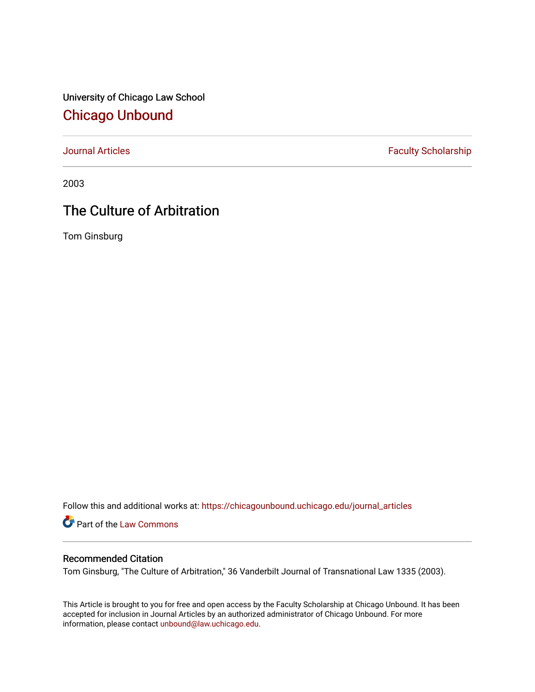University of Chicago Law School [Chicago Unbound](https://chicagounbound.uchicago.edu/)

[Journal Articles](https://chicagounbound.uchicago.edu/journal_articles) **Faculty Scholarship Faculty Scholarship** 

2003

# The Culture of Arbitration

Tom Ginsburg

Follow this and additional works at: [https://chicagounbound.uchicago.edu/journal\\_articles](https://chicagounbound.uchicago.edu/journal_articles?utm_source=chicagounbound.uchicago.edu%2Fjournal_articles%2F1438&utm_medium=PDF&utm_campaign=PDFCoverPages) 

Part of the [Law Commons](http://network.bepress.com/hgg/discipline/578?utm_source=chicagounbound.uchicago.edu%2Fjournal_articles%2F1438&utm_medium=PDF&utm_campaign=PDFCoverPages)

### Recommended Citation

Tom Ginsburg, "The Culture of Arbitration," 36 Vanderbilt Journal of Transnational Law 1335 (2003).

This Article is brought to you for free and open access by the Faculty Scholarship at Chicago Unbound. It has been accepted for inclusion in Journal Articles by an authorized administrator of Chicago Unbound. For more information, please contact [unbound@law.uchicago.edu](mailto:unbound@law.uchicago.edu).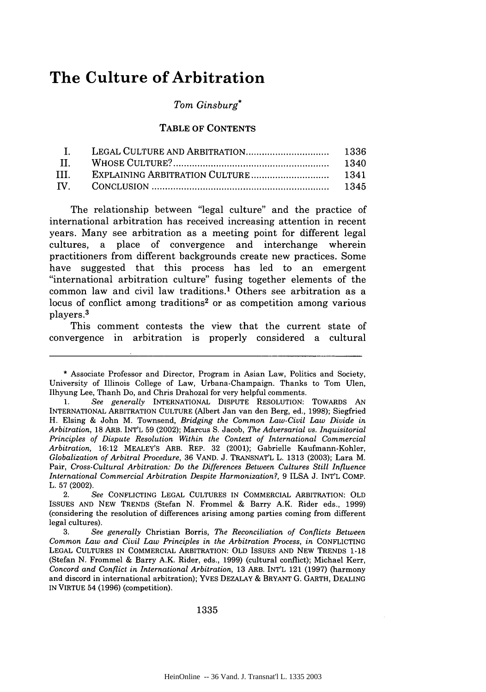## **The Culture of Arbitration**

#### *Tom Ginsburg\**

#### TABLE OF CONTENTS

The relationship between "legal culture" and the practice of international arbitration has received increasing attention in recent years. Many see arbitration as a meeting point for different legal cultures, a place of convergence and interchange wherein practitioners from different backgrounds create new practices. Some have suggested that this process has led to an emergent "international arbitration culture" fusing together elements of the common law and civil law traditions.1 Others see arbitration as a locus of conflict among traditions<sup>2</sup> or as competition among various players. <sup>3</sup>

This comment contests the view that the current state of convergence in arbitration is properly considered a cultural

<sup>\*</sup> Associate Professor and Director, Program in Asian Law, Politics and Society, University of Illinois College of Law, Urbana-Champaign. Thanks to Tom Ulen, Ilhyung Lee, Thanh Do, and Chris Drahozal for very helpful comments.

<sup>1.</sup> *See generally* INTERNATIONAL DISPUTE RESOLUTION: TOWARDS AN INTERNATIONAL ARBITRATION CULTURE (Albert Jan van den Berg, ed., 1998); Siegfried H. Elsing & John M. Townsend, *Bridging the Common Law-Civil Law Divide in Arbitration,* 18 ARB. INT'L 59 (2002); Marcus S. Jacob, *The Adversarial vs. Inquisitorial Principles of Dispute Resolution Within the Context of International Commercial Arbitration,* 16:12 MEALEY'S ARB. REP. 32 (2001); Gabrielle Kaufmann-Kohler, *Globalization of Arbitral Procedure,* 36 VAND. J. TRANSNAT'L L. 1313 (2003); Lara M. Pair, *Cross-Cultural Arbitration: Do the Differences Between Cultures Still Influence International Commercial Arbitration Despite Harmonization?,* 9 ILSA J. INT'L COMP. L. 57 (2002).

<sup>2.</sup> *See* CONFLICTING LEGAL CULTURES IN COMMERCIAL ARBITRATION: OLD ISSUES AND NEW TRENDS (Stefan N. Frommel & Barry A.K. Rider eds., 1999) (considering the resolution of differences arising among parties coming from different legal cultures).

<sup>3.</sup> *See generally* Christian Borris, *The Reconciliation of Conflicts Between Common Law and Civil Law Principles in the Arbitration Process, in* CONFLICTING LEGAL CULTURES IN COMMERCIAL ARBITRATION: OLD ISSUES AND NEW TRENDS 1-18 (Stefan N. Frommel & Barry A.K. Rider, eds., 1999) (cultural conflict); Michael Kerr, *Concord and Conflict in International Arbitration,* 13 ARB. INT'L 121 (1997) (harmony and discord in international arbitration); YVES DEZALAY & BRYANT G. GARTH, DEALING IN VIRTUE 54 (1996) (competition).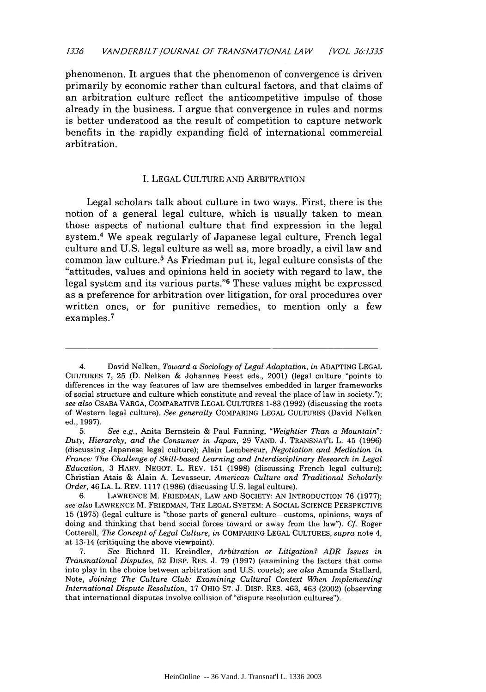phenomenon. It argues that the phenomenon of convergence is driven primarily by economic rather than cultural factors, and that claims of an arbitration culture reflect the anticompetitive impulse of those already in the business. I argue that convergence in rules and norms is better understood as the result of competition to capture network benefits in the rapidly expanding field of international commercial arbitration.

#### I. LEGAL CULTURE AND ARBITRATION

Legal scholars talk about culture in two ways. First, there is the notion of a general legal culture, which is usually taken to mean those aspects of national culture that find expression in the legal system.4 We speak regularly of Japanese legal culture, French legal culture and U.S. legal culture as well as, more broadly, a civil law and common law culture.5 As Friedman put it, legal culture consists of the "attitudes, values and opinions held in society with regard to law, the legal system and its various parts. '6 These values might be expressed as a preference for arbitration over litigation, for oral procedures over written ones, or for punitive remedies, to mention only a few examples. <sup>7</sup>

<sup>4.</sup> David Nelken, *Toward a Sociology of Legal Adaptation, in* ADAPTING LEGAL CULTURES 7, 25 (D. Nelken & Johannes Feest eds., 2001) (legal culture "points to differences in the way features of law are themselves embedded in larger frameworks of social structure and culture which constitute and reveal the place of law in society."); *see also* CSABA VARGA, COMPARATIVE LEGAL CULTURES 1-83 (1992) (discussing the roots of Western legal culture). *See generally* COMPARING LEGAL CULTURES (David Nelken ed., 1997).

<sup>5.</sup> *See e.g.,* Anita Bernstein & Paul Fanning, *"Weightier Than a Mountain": Duty, Hierarchy, and the Consumer in Japan,* 29 **VAND.** J. TRANSNAT'L L. 45 (1996) (discussing Japanese legal culture); Alain Lembereur, *Negotiation and Mediation in France: The Challenge of Skill-based Learning and Interdisciplinary Research in Legal Education,* 3 HARV. NEGOT. L. REV. 151 (1998) (discussing French legal culture); Christian Atais & Alain A. Levasseur, *American Culture and Traditional Scholarly Order,* 46 LA. L. REV. 1117 (1986) (discussing U.S. legal culture).

<sup>6.</sup> LAWRENCE M. FRIEDMAN, LAW AND SOCIETY: AN INTRODUCTION 76 (1977); *see also* LAWRENCE M. FRIEDMAN, THE LEGAL SYSTEM: A SOCIAL SCIENCE PERSPECTIVE 15 (1975) (legal culture is "those parts of general culture--customs, opinions, ways of doing and thinking that bend social forces toward or away from the law"). *Cf.* Roger Cotterell, *The Concept of Legal Culture, in* COMPARING LEGAL CULTURES, *supra* note 4, at 13-14 (critiquing the above viewpoint).

<sup>7.</sup> *See* Richard H. Kreindler, *Arbitration or Litigation? ADR Issues in Transnational Disputes,* 52 DISP. RES. J. 79 (1997) (examining the factors that come into play in the choice between arbitration and U.S. courts); *see also* Amanda Stallard, Note, *Joining The Culture Club: Examining Cultural Context When Implementing International Dispute Resolution,* 17 OHIO ST. J. Disp. RES. 463, 463 (2002) (observing that international disputes involve collision of "dispute resolution cultures").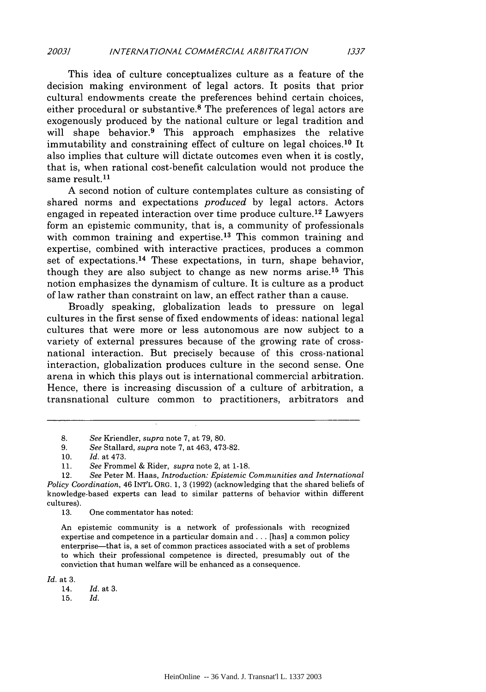This idea of culture conceptualizes culture as a feature of the decision making environment of legal actors. It posits that prior cultural endowments create the preferences behind certain choices, either procedural or substantive.<sup>8</sup> The preferences of legal actors are exogenously produced by the national culture or legal tradition and will shape behavior.<sup>9</sup> This approach emphasizes the relative immutability and constraining effect of culture on legal choices.<sup>10</sup> It also implies that culture will dictate outcomes even when it is costly, that is, when rational cost-benefit calculation would not produce the same result.<sup>11</sup>

A second notion of culture contemplates culture as consisting of shared norms and expectations *produced* by legal actors. Actors engaged in repeated interaction over time produce culture. 12 Lawyers form an epistemic community, that is, a community of professionals with common training and expertise.<sup>13</sup> This common training and expertise, combined with interactive practices, produces a common set of expectations.<sup>14</sup> These expectations, in turn, shape behavior, though they are also subject to change as new norms arise. 15 This notion emphasizes the dynamism of culture. It is culture as a product of law rather than constraint on law, an effect rather than a cause.

Broadly speaking, globalization leads to pressure on legal cultures in the first sense of fixed endowments of ideas: national legal cultures that were more or less autonomous are now subject to a variety of external pressures because of the growing rate of crossnational interaction. But precisely because of this cross-national interaction, globalization produces culture in the second sense. One arena in which this plays out is international commercial arbitration. Hence, there is increasing discussion of a culture of arbitration, a transnational culture common to practitioners, arbitrators and

13. One commentator has noted:

An epistemic community is a network of professionals with recognized expertise and competence in a particular domain and **...** [has] a common policy enterprise-that is, a set of common practices associated with a set of problems to which their professional competence is directed, presumably out of the conviction that human welfare will be enhanced as a consequence.

*Id.* at 3.

<sup>8.</sup> *See* Kriendler, *supra* note 7, at 79, 80.

<sup>9.</sup> *See* Stallard, *supra* note 7, at 463, 473-82.

<sup>10.</sup> *Id.* at 473.

<sup>11.</sup> *See* Frommel & Rider, *supra* note 2, at 1-18.

<sup>12.</sup> *See* Peter M. Haas, *Introduction: Epistemic Communities and International Policy Coordination,* 46 INT'L ORG. 1, 3 (1992) (acknowledging that the shared beliefs of knowledge-based experts can lead to similar patterns of behavior within different cultures).

<sup>14.</sup> *Id.* at **3.**

<sup>15.</sup> *Id.*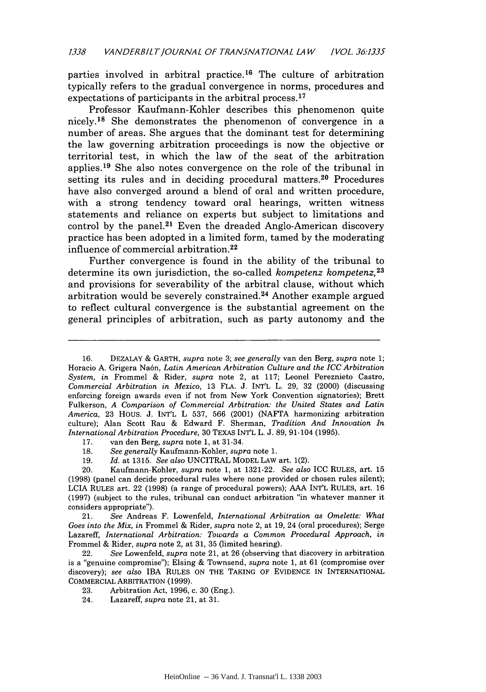parties involved in arbitral practice. 16 The culture of arbitration typically refers to the gradual convergence in norms, procedures and expectations of participants in the arbitral process.<sup>17</sup>

Professor Kaufmann-Kohler describes this phenomenon quite nicely.<sup>18</sup> She demonstrates the phenomenon of convergence in a number of areas. She argues that the dominant test for determining the law governing arbitration proceedings is now the objective or territorial test, in which the law of the seat of the arbitration applies. 19 She also notes convergence on the role of the tribunal in setting its rules and in deciding procedural matters.<sup>20</sup> Procedures have also converged around a blend of oral and written procedure, with a strong tendency toward oral hearings, written witness statements and reliance on experts but subject to limitations and control by the panel.<sup>21</sup> Even the dreaded Anglo-American discovery practice has been adopted in a limited form, tamed by the moderating influence of commercial arbitration. <sup>22</sup>

Further convergence is found in the ability of the tribunal to determine its own jurisdiction, the so-called *kompetenz kompetenz, <sup>23</sup>* and provisions for severability of the arbitral clause, without which arbitration would be severely constrained. 24 Another example argued to reflect cultural convergence is the substantial agreement on the general principles of arbitration, such as party autonomy and the

- 17. van den Berg, *supra* note 1, at 31-34.
- 18. *See generally* Kaufmann-Kohler, *supra* note 1.
- 19. *Id.* at 1315. *See also* UNCITRAL MODEL LAW art. 1(2).

21. *See* Andreas F. Lowenfeld, *International Arbitration as Omelette: What Goes into the Mix, in* Frommel & Rider, *supra* note 2, at 19, 24 (oral procedures); Serge Lazareff, *International Arbitration: Towards a Common Procedural Approach, in* Frommel & Rider, *supra* note 2, at 31, 35 (limited hearing).

22. *See* Lowenfeld, *supra* note 21, at 26 (observing that discovery in arbitration is a "genuine compromise"); Elsing & Townsend, *supra* note 1, at 61 (compromise over discovery); *see also* IBA RULES ON THE TAKING OF EVIDENCE IN INTERNATIONAL COMMERCIAL ARBITRATION (1999).

- 23. Arbitration Act, 1996, c. 30 (Eng.).
- 24. Lazareff, *supra* note 21, at 31.

<sup>16.</sup> DEZALAY & GARTH, *supra* note 3; *see generally* van den Berg, *supra* note 1; Horacio A. Grigera Na6n, *Latin American Arbitration Culture and the ICC Arbitration System, in* Frommel & Rider, *supra* note 2, at 117; Leonel Pereznieto Castro, *Commercial Arbitration in Mexico,* 13 FLA. J. INT'L L. 29, 32 (2000) (discussing enforcing foreign awards even if not from New York Convention signatories); Brett Fulkerson, *A Comparison of Commercial Arbitration: the United States and Latin America,* 23 HOUS. J. INT'L L 537, 566 (2001) (NAFTA harmonizing arbitration culture); Alan Scott Rau & Edward F. Sherman, *Tradition And Innovation In International Arbitration Procedure,* 30 TEXAS INT'L L. J. 89, 91-104 (1995).

<sup>20.</sup> Kaufmann-Kohler, *supra* note 1, at 1321-22. *See also* ICC RULES, art. 15 (1998) (panel can decide procedural rules where none provided or chosen rules silent); LCIA RULES art. 22 (1998) (a range of procedural powers); AAA INT'L RULES, art. 16 (1997) (subject to the rules, tribunal can conduct arbitration "in whatever manner it considers appropriate").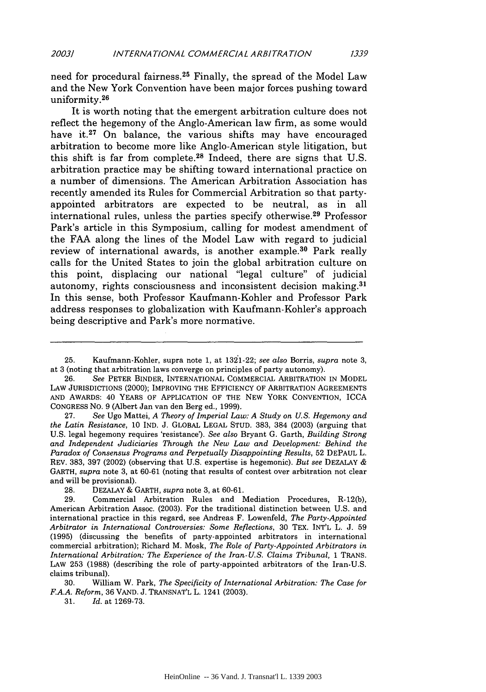need for procedural fairness.<sup>25</sup> Finally, the spread of the Model Law and the New York Convention have been major forces pushing toward uniformity. <sup>26</sup>

It is worth noting that the emergent arbitration culture does not reflect the hegemony of the Anglo-American law firm, as some would have it.<sup>27</sup> On balance, the various shifts may have encouraged arbitration to become more like Anglo-American style litigation, but this shift is far from complete. $28$  Indeed, there are signs that U.S. arbitration practice may be shifting toward international practice on a number of dimensions. The American Arbitration Association has recently amended its Rules for Commercial Arbitration so that partyappointed arbitrators are expected to be neutral, as in all international rules, unless the parties specify otherwise. 29 Professor Park's article in this Symposium, calling for modest amendment of the FAA along the lines of the Model Law with regard to judicial review of international awards, is another example.<sup>30</sup> Park really calls for the United States to join the global arbitration culture on this point, displacing our national "legal culture" of judicial autonomy, rights consciousness and inconsistent decision making.31 In this sense, both Professor Kaufmann-Kohler and Professor Park address responses to globalization with Kaufmann-Kohler's approach being descriptive and Park's more normative.

26. *See* PETER BINDER, INTERNATIONAL COMMERCIAL ARBITRATION IN MODEL LAW JURISDICTIONS (2000); IMPROVING THE EFFICIENCY OF ARBITRATION AGREEMENTS AND AWARDS: 40 YEARS OF APPLICATION OF THE NEW YORK CONVENTION, ICCA CONGRESS NO. 9 (Albert Jan van den Berg ed., 1999).

27. *See* Ugo Mattei, *A Theory of Imperial Law: A Study on U.S. Hegemony and the Latin Resistance,* 10 IND. J. GLOBAL LEGAL STUD. 383, 384 (2003) (arguing that U.S. legal hegemony requires 'resistance'). *See also* Bryant G. Garth, *Building Strong and Independent Judiciaries Through the New Law and Development: Behind the Paradox of Consensus Programs and Perpetually Disappointing Results,* 52 DEPAUL L. REV. 383, 397 (2002) (observing that U.S. expertise is hegemonic). *But see* DEZALAY & GARTH, *supra* note 3, at 60-61 (noting that results of contest over arbitration not clear and will be provisional).

28. DEZALAY & GARTH, *supra* note 3, at 60-61.

29. Commercial Arbitration Rules and Mediation Procedures, R-12(b), American Arbitration Assoc. (2003). For the traditional distinction between U.S. and international practice in this regard, see Andreas F. Lowenfeld, *The Party-Appointed Arbitrator in International Controversies: Some Reflections,* 30 TEX. INT'L L. J. 59 (1995) (discussing the benefits of party-appointed arbitrators in international commercial arbitration); Richard M. Mosk, *The Role of Party-Appointed Arbitrators in International Arbitration: The Experience of the Iran-U.S. Claims Tribunal,* 1 TRANS. LAW 253 (1988) (describing the role of party-appointed arbitrators of the Iran-U.S. claims tribunal).

30. William W. Park, *The Specificity of International Arbitration: The Case for F.A.A. Reform,* 36 VAND. J. TRANSNAT'L L. 1241 (2003).

31. *Id.* at 1269-73.

<sup>25.</sup> Kaufmann-Kohler, supra note 1, at 1321-22; *see also* Borris, *supra* note 3, at 3 (noting that arbitration laws converge on principles of party autonomy).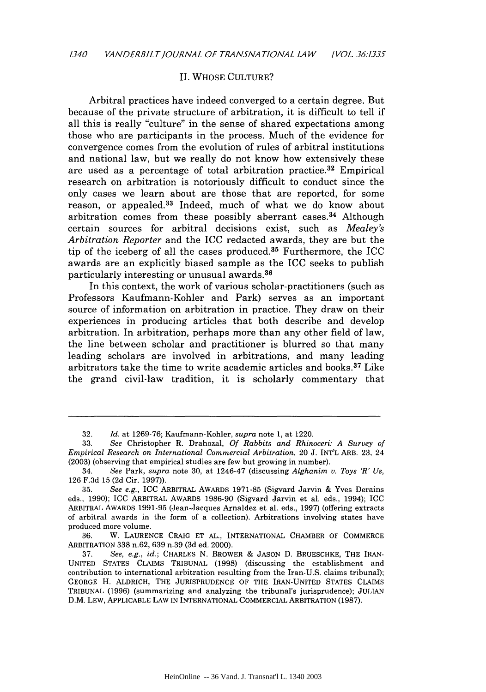#### II. WHOSE CULTURE?

Arbitral practices have indeed converged to a certain degree. But because of the private structure of arbitration, it is difficult to tell if all this is really "culture" in the sense of shared expectations among those who are participants in the process. Much of the evidence for convergence comes from the evolution of rules of arbitral institutions and national law, but we really do not know how extensively these are used as a percentage of total arbitration practice.32 Empirical research on arbitration is notoriously difficult to conduct since the only cases we learn about are those that are reported, for some reason, or appealed.<sup>33</sup> Indeed, much of what we do know about arbitration comes from these possibly aberrant cases. 34 Although certain sources for arbitral decisions exist, such as *Mealey's Arbitration Reporter* and the ICC redacted awards, they are but the tip of the iceberg of all the cases produced.<sup>35</sup> Furthermore, the ICC awards are an explicitly biased sample as the ICC seeks to publish particularly interesting or unusual awards. <sup>36</sup>

In this context, the work of various scholar-practitioners (such as Professors Kaufmann-Kohler and Park) serves as an important source of information on arbitration in practice. They draw on their experiences in producing articles that both describe and develop arbitration. In arbitration, perhaps more than any other field of law, the line between scholar and practitioner is blurred so that many leading scholars are involved in arbitrations, and many leading arbitrators take the time to write academic articles and books. 37 Like the grand civil-law tradition, it is scholarly commentary that

36. W. LAURENCE CRAIG ET AL., INTERNATIONAL CHAMBER OF COMMERCE ARBITRATION 338 n.62, 639 n.39 (3d ed. 2000).

<sup>32.</sup> *Id.* at 1269-76; Kaufmann-Kohler, *supra* note 1, at 1220.

<sup>33.</sup> *See* Christopher R. Drahozal, *Of Rabbits and Rhinoceri: A Survey of Empirical Research on International Commercial Arbitration,* 20 J. INT'L ARB. 23, 24 (2003) (observing that empirical studies are few but growing in number).

<sup>34.</sup> *See* Park, *supra* note 30, at 1246-47 (discussing *Alghanim v. Toys R' Us,* 126 F.3d 15 (2d Cir. 1997)).

<sup>35.</sup> *See e.g.,* ICC ARBITRAL AWARDS 1971-85 (Sigvard Jarvin & Yves Derains eds., 1990); ICC ARBITRAL AWARDS 1986-90 (Sigvard Jarvin et al. eds., 1994); ICC ARBITRAL AWARDS 1991-95 (Jean-Jacques Arnaldez et al. eds., 1997) (offering extracts of arbitral awards in the form of a collection). Arbitrations involving states have produced more volume.

<sup>37.</sup> *See, e.g., id.;* CHARLES N. BROWER **&** JASON D. BRUESCHKE, THE IRAN-UNITED STATES CLAIMS TRIBUNAL (1998) (discussing the establishment and contribution to international arbitration resulting from the Iran-U.S. claims tribunal); GEORGE H. ALDRICH, THE JURISPRUDENCE OF THE IRAN-UNITED STATES CLAIMS TRIBUNAL (1996) (summarizing and analyzing the tribunal's jurisprudence); JULIAN D.M. LEW, APPLICABLE LAW IN INTERNATIONAL COMMERCIAL ARBITRATION (1987).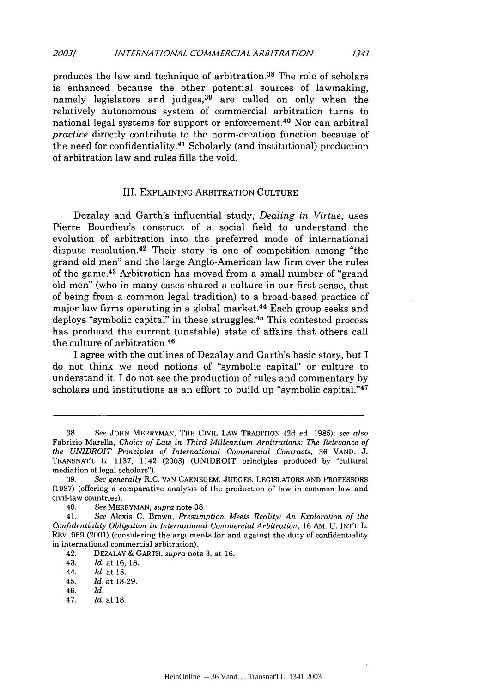produces the law and technique of arbitration.38 The role of scholars is enhanced because the other potential sources of lawmaking, namely legislators and judges,<sup>39</sup> are called on only when the relatively autonomous system of commercial arbitration turns to national legal systems for support or enforcement. 40 Nor can arbitral *practice* directly contribute to the norm-creation function because of the need for confidentiality. 41 Scholarly (and institutional) production of arbitration law and rules fills the void.

#### III. EXPLAINING ARBITRATION CULTURE

Dezalay and Garth's influential study, *Dealing in Virtue,* uses Pierre Bourdieu's construct of a social field to understand the evolution of arbitration into the preferred mode of international dispute resolution.42 Their story is one of competition among "the grand old men" and the large Anglo-American law firm over the rules of the game. 43 Arbitration has moved from a small number of "grand old men" (who in many cases shared a culture in our first sense, that of being from a common legal tradition) to a broad-based practice of major law firms operating in a global market. 44 Each group seeks and deploys "symbolic capital" in these struggles. 45 This contested process has produced the current (unstable) state of affairs that others call the culture of arbitration.<sup>46</sup>

I agree with the outlines of Dezalay and Garth's basic story, but I do not think we need notions of "symbolic capital" or culture to understand it. I do not see the production of rules and commentary by scholars and institutions as an effort to build up "symbolic capital."<sup>47</sup>

43. *Id.* at 16, 18.

- 46. *Id.*
- 47. *Id.* at 18.

<sup>38.</sup> *See* JOHN MERRYMAN, THE CIVIL LAW TRADITION (2d ed. 1985); *see also* Fabrizio Marella, *Choice of Law in Third Millennium Arbitrations: The Relevance of the UNIDROIT Principles of International Commercial Contracts,* 36 VAND. J. TRANSNAT'L L. 1137, 1142 (2003) (UNIDROIT principles produced by "cultural mediation of legal scholars").

<sup>39.</sup> *See generally* R.C. VAN CAENEGEM, JUDGES, LEGISLATORS AND PROFESSORS (1987) (offering a comparative analysis of the production of law in common law and civil-law countries).

<sup>40.</sup> *See* MERRYMAN, *supra* note 38.

<sup>41.</sup> *See* Alexis C. Brown, *Presumption Meets Reality: An Exploration of the Confidentiality Obligation in International Commercial Arbitration,* 16 AM. U. INT'L L. REV. 969 (2001) (considering the arguments for and against the duty of confidentiality in international commercial arbitration).

<sup>42.</sup> DEZALAY & GARTH, *supra* note 3, at 16.

<sup>44.</sup> *Id.* at 18.

<sup>45.</sup> *Id.* at 18-29.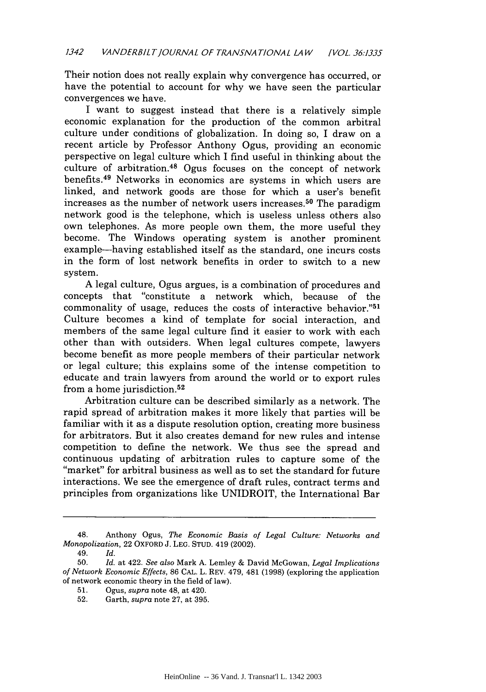Their notion does not really explain why convergence has occurred, or have the potential to account for why we have seen the particular convergences we have.

I want to suggest instead that there is a relatively simple economic explanation for the production of the common arbitral culture under conditions of globalization. In doing so, I draw on a recent article by Professor Anthony Ogus, providing an economic perspective on legal culture which I find useful in thinking about the culture of arbitration. 48 Ogus focuses on the concept of network benefits. 49 Networks in economics are systems in which users are linked, and network goods are those for which a user's benefit increases as the number of network users increases. 50 The paradigm network good is the telephone, which is useless unless others also own telephones. As more people own them, the more useful they become. The Windows operating system is another prominent example-having established itself as the standard, one incurs costs in the form of lost network benefits in order to switch to a new system.

A legal culture, Ogus argues, is a combination of procedures and concepts that "constitute a network which, because of the commonality of usage, reduces the costs of interactive behavior."<sup>51</sup> Culture becomes a kind of template for social interaction, and members of the same legal culture find it easier to work with each other than with outsiders. When legal cultures compete, lawyers become benefit as more people members of their particular network or legal culture; this explains some of the intense competition to educate and train lawyers from around the world or to export rules from a home jurisdiction. <sup>52</sup>

Arbitration culture can be described similarly as a network. The rapid spread of arbitration makes it more likely that parties will be familiar with it as a dispute resolution option, creating more business for arbitrators. But it also creates demand for new rules and intense competition to define the network. We thus see the spread and continuous updating of arbitration rules to capture some of the "market" for arbitral business as well as to set the standard for future interactions. We see the emergence of draft rules, contract terms and principles from organizations like UNIDROIT, the International Bar

<sup>48.</sup> Anthony Ogus, *The Economic Basis of Legal Culture: Networks and Monopolization,* 22 OXFORD **J. LEG. STUD.** 419 (2002).

<sup>49.</sup> *Id.*

<sup>50.</sup> *Id.* at 422. *See also* Mark A. Lemley & David McGowan, *Legal Implications* of *Network Economic Effects,* 86 CAL. L. REV. 479, 481 (1998) (exploring the application of network economic theory in the field of law).

**<sup>51.</sup>** Ogus, *supra* note 48, at 420.

**<sup>52.</sup>** Garth, *supra* note 27, at 395.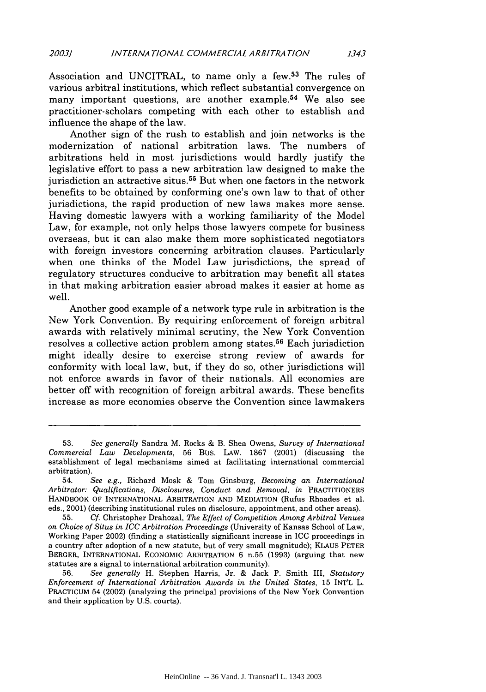Association and UNCITRAL, to name only a few.<sup>53</sup> The rules of various arbitral institutions, which reflect substantial convergence on many important questions, are another example.<sup>54</sup> We also see practitioner-scholars competing with each other to establish and influence the shape of the law.

Another sign of the rush to establish and join networks is the modernization of national arbitration laws. The numbers of arbitrations held in most jurisdictions would hardly justify the legislative effort to pass a new arbitration law designed to make the jurisdiction an attractive situs.<sup>55</sup> But when one factors in the network benefits to be obtained by conforming one's own law to that of other jurisdictions, the rapid production of new laws makes more sense. Having domestic lawyers with a working familiarity of the Model Law, for example, not only helps those lawyers compete for business overseas, but it can also make them more sophisticated negotiators with foreign investors concerning arbitration clauses. Particularly when one thinks of the Model Law jurisdictions, the spread of regulatory structures conducive to arbitration may benefit all states in that making arbitration easier abroad makes it easier at home as well.

Another good example of a network type rule in arbitration is the New York Convention. By requiring enforcement of foreign arbitral awards with relatively minimal scrutiny, the New York Convention resolves a collective action problem among states.<sup>56</sup> Each jurisdiction might ideally desire to exercise strong review of awards for conformity with local law, but, if they do so, other jurisdictions will not enforce awards in favor of their nationals. All economies are better off with recognition of foreign arbitral awards. These benefits increase as more economies observe the Convention since lawmakers

<sup>53.</sup> *See generally* Sandra M. Rocks & B. Shea Owens, *Survey of International Commercial Law Developments,* 56 BUS. LAW. 1867 (2001) (discussing the establishment of legal mechanisms aimed at facilitating international commercial arbitration).

<sup>54.</sup> *See e.g.,* Richard Mosk & Tom Ginsburg, *Becoming an International Arbitrator: Qualifications, Disclosures, Conduct and Removal, in* PRACTITIONERS HANDBOOK OF **INTERNATIONAL** ARBITRATION **AND MEDIATION** (Rufus Rhoades et al. eds., 2001) (describing institutional rules on disclosure, appointment, and other areas).

<sup>55.</sup> *Cf.* Christopher Drahozal, *The Effect of Competition Among Arbitral Venues on Choice of Situs in ICC Arbitration Proceedings* (University of Kansas School of Law, Working Paper 2002) (finding a statistically significant increase in ICC proceedings in a country after adoption of a new statute, but of very small magnitude); KLAUS PETER BERGER, **INTERNATIONAL** ECONOMIC ARBITRATION 6 n.55 (1993) (arguing that new statutes are a signal to international arbitration community).

<sup>56.</sup> *See generally* H. Stephen Harris, Jr. & Jack P. Smith III, *Statutory Enforcement of International Arbitration Awards in the United States,* 15 INT'L L. **PRACTICUM** 54 (2002) (analyzing the principal provisions of the New York Convention and their application by U.S. courts).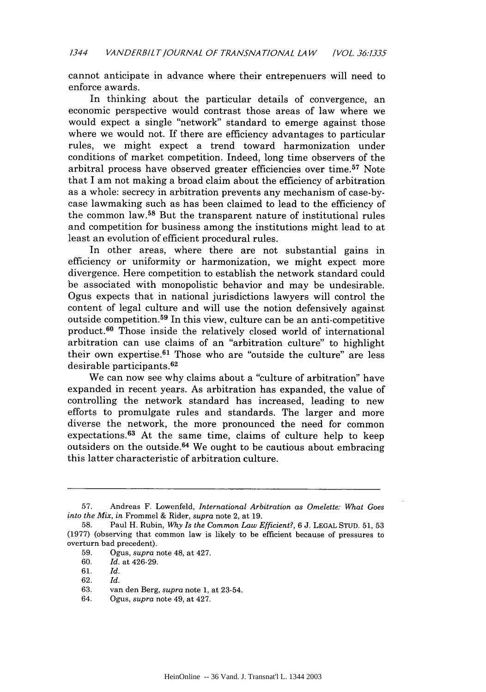cannot anticipate in advance where their entrepenuers will need to enforce awards.

In thinking about the particular details of convergence, an economic perspective would contrast those areas of law where we would expect a single "network" standard to emerge against those where we would not. If there are efficiency advantages to particular rules, we might expect a trend toward harmonization under conditions of market competition. Indeed, long time observers of the arbitral process have observed greater efficiencies over time. 57 Note that I am not making a broad claim about the efficiency of arbitration as a whole: secrecy in arbitration prevents any mechanism of case-bycase lawmaking such as has been claimed to lead to the efficiency of the common law. 58 But the transparent nature of institutional rules and competition for business among the institutions might lead to at least an evolution of efficient procedural rules.

In other areas, where there are not substantial gains in efficiency or uniformity or harmonization, we might expect more divergence. Here competition to establish the network standard could be associated with monopolistic behavior and may be undesirable. Ogus expects that in national jurisdictions lawyers will control the content of legal culture and will use the notion defensively against outside competition. 59 In this view, culture can be an anti-competitive product.60 Those inside the relatively closed world of international arbitration can use claims of an "arbitration culture" to highlight their own expertise. $61$  Those who are "outside the culture" are less desirable participants. <sup>62</sup>

We can now see why claims about a "culture of arbitration" have expanded in recent years. As arbitration has expanded, the value of controlling the network standard has increased, leading to new efforts to promulgate rules and standards. The larger and more diverse the network, the more pronounced the need for common expectations. $63$  At the same time, claims of culture help to keep outsiders on the outside. 64 We ought to be cautious about embracing this latter characteristic of arbitration culture.

<sup>57.</sup> Andreas F. Lowenfeld, *International Arbitration as Omelette: What Goes into the Mix, in* Frommel & Rider, *supra* note 2, at 19.

<sup>58.</sup> Paul H. Rubin, *Why Is the Common Law Efficient?,* 6 J. LEGAL STUD. 51, 53 (1977) (observing that common law is likely to be efficient because of pressures to overturn bad precedent).

<sup>59.</sup> Ogus, *supra* note 48, at 427.

<sup>60.</sup> *Id.* at 426-29.

<sup>61.</sup> *Id.*

<sup>62.</sup> *Id.*

<sup>63.</sup> van den Berg, *supra* note 1, at 23-54.

<sup>64.</sup> Ogus, *supra* note 49, at 427.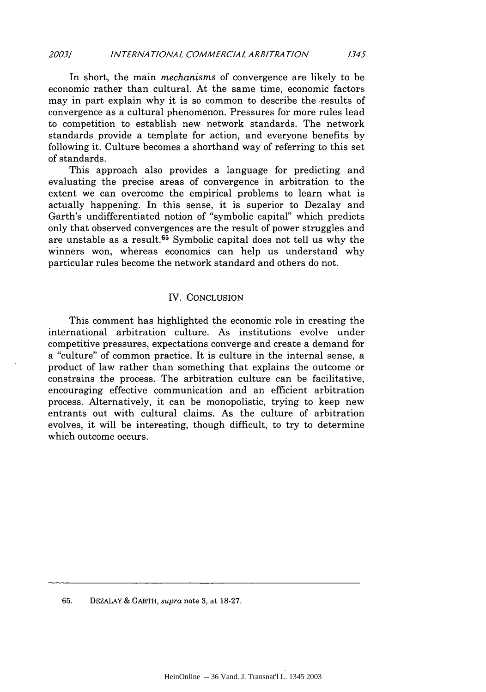In short, the main *mechanisms* of convergence are likely to be economic rather than cultural. At the same time, economic factors may in part explain why it is so common to describe the results of convergence as a cultural phenomenon. Pressures for more rules lead to competition to establish new network standards. The network standards provide a template for action, and everyone benefits by following it. Culture becomes a shorthand way of referring to this set of standards.

This approach also provides a language for predicting and evaluating the precise areas of convergence in arbitration to the extent we can overcome the empirical problems to learn what is actually happening. In this sense, it is superior to Dezalay and Garth's undifferentiated notion of "symbolic capital" which predicts only that observed convergences are the result of power struggles and are unstable as a result. 65 Symbolic capital does not tell us why the winners won, whereas economics can help us understand why particular rules become the network standard and others do not.

#### IV. CONCLUSION

This comment has highlighted the economic role in creating the international arbitration culture. As institutions evolve under competitive pressures, expectations converge and create a demand for a "culture" of common practice. It is culture in the internal sense, a product of law rather than something that explains the outcome or constrains the process. The arbitration culture can be facilitative, encouraging effective communication and an efficient arbitration process. Alternatively, it can be monopolistic, trying to keep new entrants out with cultural claims. As the culture of arbitration evolves, it will be interesting, though difficult, to try to determine which outcome occurs.

65. DEZALAY & GARTH, *supra* note 3, at 18-27.